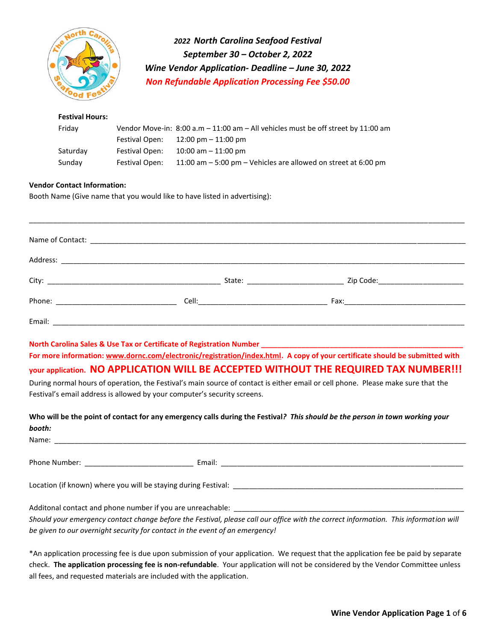

*2022 North Carolina Seafood Festival September 30 – October 2, 2022 Wine Vendor Application- Deadline – June 30, 2022 Non Refundable Application Processing Fee \$50.00* 

## **Festival Hours:**  Friday Vendor Move-in: 8:00 a.m – 11:00 am – All vehicles must be off street by 11:00 am Festival Open: 12:00 pm – 11:00 pm Saturday Festival Open: 10:00 am – 11:00 pm Sunday Festival Open: 11:00 am – 5:00 pm – Vehicles are allowed on street at 6:00 pm

#### **Vendor Contact Information:**

Booth Name (Give name that you would like to have listed in advertising):

**North Carolina Sales & Use Tax or Certificate of Registration Number \_\_\_\_\_\_\_\_\_\_\_\_\_\_\_\_\_\_\_\_\_\_\_\_\_\_\_\_\_\_\_\_\_\_\_\_\_\_\_\_\_\_\_\_\_\_\_\_\_\_**

**For more information: [www.dornc.com/electronic/registration/index.html.](http://www.dornc.com/electronic/registration/index.html) A copy of your certificate should be submitted with** 

# **your application. NO APPLICATION WILL BE ACCEPTED WITHOUT THE REQUIRED TAX NUMBER!!!**

During normal hours of operation, the Festival's main source of contact is either email or cell phone. Please make sure that the Festival's email address is allowed by your computer's security screens.

**Who will be the point of contact for any emergency calls during the Festival***? This should be the person in town working your booth:* 

| Name:                                                                                                                                                                                                                                   |  |
|-----------------------------------------------------------------------------------------------------------------------------------------------------------------------------------------------------------------------------------------|--|
|                                                                                                                                                                                                                                         |  |
| Phone Number: The Contract of the Contract of the Contract of the Contract of the Contract of the Contract of the Contract of the Contract of the Contract of the Contract of the Contract of the Contract of the Contract of<br>Email: |  |
|                                                                                                                                                                                                                                         |  |
| Location (if known) where you will be staying during Festival:                                                                                                                                                                          |  |
|                                                                                                                                                                                                                                         |  |
| Additonal contact and phone number if you are unreachable:                                                                                                                                                                              |  |

*Should your emergency contact change before the Festival, please call our office with the correct information. This information will be given to our overnight security for contact in the event of an emergency!*

\*An application processing fee is due upon submission of your application. We request that the application fee be paid by separate check. **The application processing fee is non-refundable**. Your application will not be considered by the Vendor Committee unless all fees, and requested materials are included with the application.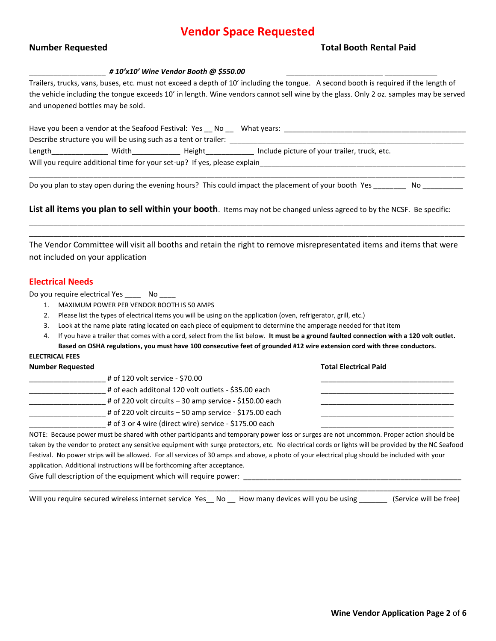# **Vendor Space Requested**

#### **Number Requested Total Booth Rental Paid**

**Total Electrical Paid** 

#### \_\_\_\_\_\_\_\_\_\_\_\_\_\_\_\_\_\_\_ *# 10'x10' Wine Vendor Booth @ \$550.00* \_\_\_\_\_\_\_\_\_\_\_\_\_\_\_\_\_\_\_\_\_\_\_\_ \_\_\_\_\_\_\_\_\_\_\_\_\_

Trailers, trucks, vans, buses, etc. must not exceed a depth of 10' including the tongue. A second booth is required if the length of the vehicle including the tongue exceeds 10' in length. Wine vendors cannot sell wine by the glass. Only 2 oz. samples may be served and unopened bottles may be sold.

| Have you been a vendor at the Seafood Festival: Yes No                   |       |        | What years:                                  |  |
|--------------------------------------------------------------------------|-------|--------|----------------------------------------------|--|
| Describe structure you will be using such as a tent or trailer:          |       |        |                                              |  |
| Length                                                                   | Width | Height | Include picture of your trailer, truck, etc. |  |
| Will you require additional time for your set-up? If yes, please explain |       |        |                                              |  |
|                                                                          |       |        |                                              |  |

Do you plan to stay open during the evening hours? This could impact the placement of your booth Yes No \_\_\_\_\_\_

**List all items you plan to sell within your booth**. Items may not be changed unless agreed to by the NCSF. Be specific:

The Vendor Committee will visit all booths and retain the right to remove misrepresentated items and items that were not included on your application

\_\_\_\_\_\_\_\_\_\_\_\_\_\_\_\_\_\_\_\_\_\_\_\_\_\_\_\_\_\_\_\_\_\_\_\_\_\_\_\_\_\_\_\_\_\_\_\_\_\_\_\_\_\_\_\_\_\_\_\_\_\_\_\_\_\_\_\_\_\_\_\_\_\_\_\_\_\_\_\_\_\_\_\_\_\_\_\_\_\_\_\_\_\_\_\_\_\_\_\_\_\_\_\_\_\_\_\_ \_\_\_\_\_\_\_\_\_\_\_\_\_\_\_\_\_\_\_\_\_\_\_\_\_\_\_\_\_\_\_\_\_\_\_\_\_\_\_\_\_\_\_\_\_\_\_\_\_\_\_\_\_\_\_\_\_\_\_\_\_\_\_\_\_\_\_\_\_\_\_\_\_\_\_\_\_\_\_\_\_\_\_\_\_\_\_\_\_\_\_\_\_\_\_\_\_\_\_\_\_\_\_\_\_\_\_\_

#### **Electrical Needs**

Do you require electrical Yes \_\_\_\_\_ No \_\_\_

- 1. MAXIMUM POWER PER VENDOR BOOTH IS 50 AMPS
- 2. Please list the types of electrical items you will be using on the application (oven, refrigerator, grill, etc.)
- 3. Look at the name plate rating located on each piece of equipment to determine the amperage needed for that item
- 4. If you have a trailer that comes with a cord, select from the list below. **It must be a ground faulted connection with a 120 volt outlet. Based on OSHA regulations, you must have 100 consecutive feet of grounded #12 wire extension cord with three conductors.**

#### **ELECTRICAL FEES**

| <b>Number Requested</b> |                                                          | <b>Total Electrical Paid</b> |
|-------------------------|----------------------------------------------------------|------------------------------|
|                         | # of 120 volt service - \$70.00                          |                              |
|                         | # of each additonal 120 volt outlets - \$35.00 each      |                              |
|                         | # of 220 volt circuits $-30$ amp service - \$150.00 each |                              |
|                         | # of 220 volt circuits – 50 amp service - \$175.00 each  |                              |
|                         | # of 3 or 4 wire (direct wire) service - \$175.00 each   |                              |

NOTE: Because power must be shared with other participants and temporary power loss or surges are not uncommon. Proper action should be taken by the vendor to protect any sensitive equipment with surge protectors, etc. No electrical cords or lights will be provided by the NC Seafood Festival. No power strips will be allowed. For all services of 30 amps and above, a photo of your electrical plug should be included with your application. Additional instructions will be forthcoming after acceptance.

Give full description of the equipment which will require power: \_\_\_

\_\_\_\_\_\_\_\_\_\_\_\_\_\_\_\_\_\_\_\_\_\_\_\_\_\_\_\_\_\_\_\_\_\_\_\_\_\_\_\_\_\_\_\_\_\_\_\_\_\_\_\_\_\_\_\_\_\_\_\_\_\_\_\_\_\_\_\_\_\_\_\_\_\_\_\_\_\_\_\_\_\_\_\_\_\_\_\_\_\_\_\_\_\_\_\_\_\_\_\_\_\_\_\_\_\_\_ Will you require secured wireless internet service Yes\_ No \_ How many devices will you be using \_\_\_\_\_\_\_ (Service will be free)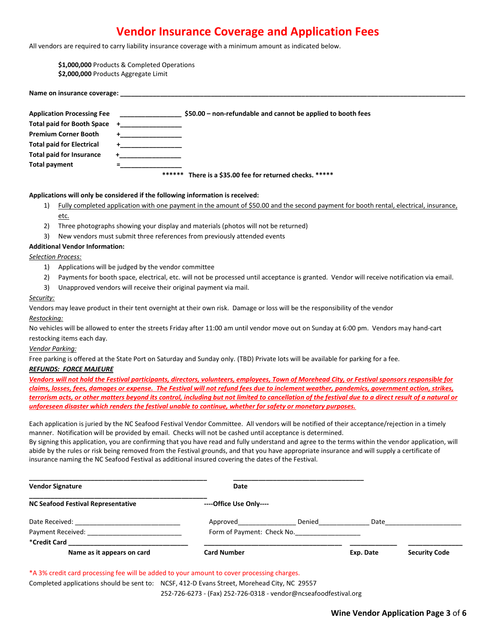# **Vendor Insurance Coverage and Application Fees**

All vendors are required to carry liability insurance coverage with a minimum amount as indicated below.

**\$1,000,000** Products & Completed Operations

**\$2,000,000** Products Aggregate Limit

| <b>Application Processing Fee</b> |        | \$50.00 – non-refundable and cannot be applied to booth fees |
|-----------------------------------|--------|--------------------------------------------------------------|
| <b>Total paid for Booth Space</b> |        |                                                              |
| <b>Premium Corner Booth</b>       |        |                                                              |
| <b>Total paid for Electrical</b>  |        |                                                              |
| <b>Total paid for Insurance</b>   |        |                                                              |
| <b>Total payment</b>              |        |                                                              |
|                                   | ****** | There is a \$35.00 fee for returned checks. *****            |

#### **Applications will only be considered if the following information is received:**

- 1) Fully completed application with one payment in the amount of \$50.00 and the second payment for booth rental, electrical, insurance, etc.
- 2) Three photographs showing your display and materials (photos will not be returned)
- 3) New vendors must submit three references from previously attended events

#### **Additional Vendor Information:**

Name on insurance coverage:

*Selection Process:*

- 1) Applications will be judged by the vendor committee
- 2) Payments for booth space, electrical, etc. will not be processed until acceptance is granted. Vendor will receive notification via email.
- 3) Unapproved vendors will receive their original payment via mail.

#### *Security:*

Vendors may leave product in their tent overnight at their own risk. Damage or loss will be the responsibility of the vendor

*Restocking:*

No vehicles will be allowed to enter the streets Friday after 11:00 am until vendor move out on Sunday at 6:00 pm. Vendors may hand-cart restocking items each day.

*Vendor Parking:*

Free parking is offered at the State Port on Saturday and Sunday only. (TBD) Private lots will be available for parking for a fee.

#### *REFUNDS: FORCE MAJEURE*

*Vendors will not hold the Festival participants, directors, volunteers, employees, Town of Morehead City, or Festival sponsors responsible for claims, losses, fees, damages or expense. The Festival will not refund fees due to inclement weather, pandemics, government action, strikes, terrorism acts, or other matters beyond its control, including but not limited to cancellation of the festival due to a direct result of a natural or unforeseen disaster which renders the festival unable to continue, whether for safety or monetary purposes.*

Each application is juried by the NC Seafood Festival Vendor Committee. All vendors will be notified of their acceptance/rejection in a timely manner. Notification will be provided by email. Checks will not be cashed until acceptance is determined.

By signing this application, you are confirming that you have read and fully understand and agree to the terms within the vendor application, will abide by the rules or risk being removed from the Festival grounds, and that you have appropriate insurance and will supply a certificate of insurance naming the NC Seafood Festival as additional insured covering the dates of the Festival.

| <b>Vendor Signature</b>                   | Date                    |                            |           |                      |
|-------------------------------------------|-------------------------|----------------------------|-----------|----------------------|
| <b>NC Seafood Festival Representative</b> | ----Office Use Only---- |                            |           |                      |
| Date Received: New York 1999              | Approved                | Denied                     | Date      |                      |
| Payment Received:                         |                         | Form of Payment: Check No. |           |                      |
| *Credit Card                              |                         |                            |           |                      |
| Name as it appears on card                | <b>Card Number</b>      |                            | Exp. Date | <b>Security Code</b> |

\*A 3% credit card processing fee will be added to your amount to cover processing charges.

Completed applications should be sent to: NCSF, 412-D Evans Street, Morehead City, NC 29557

252-726-6273 - (Fax) 252-726-0318 - vendor@ncseafoodfestival.org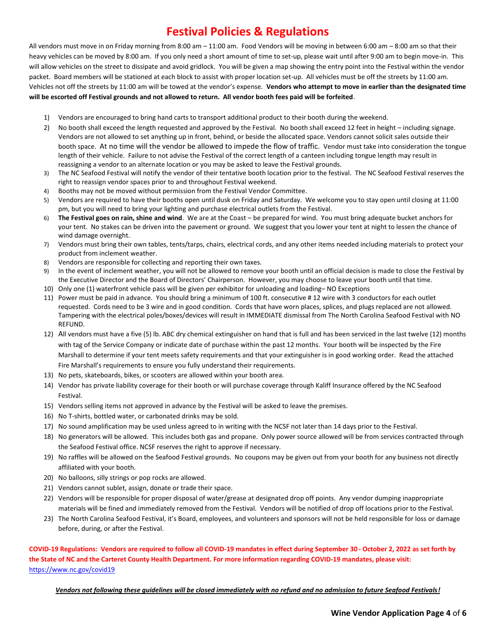# **Festival Policies & Regulations**

All vendors must move in on Friday morning from 8:00 am – 11:00 am. Food Vendors will be moving in between 6:00 am – 8:00 am so that their heavy vehicles can be moved by 8:00 am. If you only need a short amount of time to set-up, please wait until after 9:00 am to begin move-in. This will allow vehicles on the street to dissipate and avoid gridlock. You will be given a map showing the entry point into the Festival within the vendor packet. Board members will be stationed at each block to assist with proper location set-up. All vehicles must be off the streets by 11:00 am. Vehicles not off the streets by 11:00 am will be towed at the vendor's expense. **Vendors who attempt to move in earlier than the designated time will be escorted off Festival grounds and not allowed to return. All vendor booth fees paid will be forfeited**.

- 1) Vendors are encouraged to bring hand carts to transport additional product to their booth during the weekend.
- 2) No booth shall exceed the length requested and approved by the Festival. No booth shall exceed 12 feet in height including signage. Vendors are not allowed to set anything up in front, behind, or beside the allocated space. Vendors cannot solicit sales outside their booth space. At no time will the vendor be allowed to impede the flow of traffic. Vendor must take into consideration the tongue length of their vehicle. Failure to not advise the Festival of the correct length of a canteen including tongue length may result in reassigning a vendor to an alternate location or you may be asked to leave the Festival grounds.
- 3) The NC Seafood Festival will notify the vendor of their tentative booth location prior to the festival. The NC Seafood Festival reserves the right to reassign vendor spaces prior to and throughout Festival weekend.
- 4) Booths may not be moved without permission from the Festival Vendor Committee.
- 5) Vendors are required to have their booths open until dusk on Friday and Saturday. We welcome you to stay open until closing at 11:00 pm, but you will need to bring your lighting and purchase electrical outlets from the Festival.
- 6) **The Festival goes on rain, shine and wind**. We are at the Coast be prepared for wind. You must bring adequate bucket anchors for your tent. No stakes can be driven into the pavement or ground. We suggest that you lower your tent at night to lessen the chance of wind damage overnight.
- 7) Vendors must bring their own tables, tents/tarps, chairs, electrical cords, and any other items needed including materials to protect your product from inclement weather.
- 8) Vendors are responsible for collecting and reporting their own taxes.
- 9) In the event of inclement weather, you will not be allowed to remove your booth until an official decision is made to close the Festival by the Executive Director and the Board of Directors' Chairperson. However, you may choose to leave your booth until that time.
- 10) Only one (1) waterfront vehicle pass will be given per exhibitor for unloading and loading– NO Exceptions
- 11) Power must be paid in advance. You should bring a minimum of 100 ft. consecutive # 12 wire with 3 conductors for each outlet requested. Cords need to be 3 wire and in good condition. Cords that have worn places, splices, and plugs replaced are not allowed. Tampering with the electrical poles/boxes/devices will result in IMMEDIATE dismissal from The North Carolina Seafood Festival with NO REFUND.
- 12) All vendors must have a five (5) lb. ABC dry chemical extinguisher on hand that is full and has been serviced in the last twelve (12) months with tag of the Service Company or indicate date of purchase within the past 12 months. Your booth will be inspected by the Fire Marshall to determine if your tent meets safety requirements and that your extinguisher is in good working order. Read the attached Fire Marshall's requirements to ensure you fully understand their requirements.
- 13) No pets, skateboards, bikes, or scooters are allowed within your booth area.
- 14) Vendor has private liability coverage for their booth or will purchase coverage through Kaliff Insurance offered by the NC Seafood Festival.
- 15) Vendors selling items not approved in advance by the Festival will be asked to leave the premises.
- 16) No T-shirts, bottled water, or carbonated drinks may be sold.
- 17) No sound amplification may be used unless agreed to in writing with the NCSF not later than 14 days prior to the Festival.
- 18) No generators will be allowed. This includes both gas and propane. Only power source allowed will be from services contracted through the Seafood Festival office. NCSF reserves the right to approve if necessary.
- 19) No raffles will be allowed on the Seafood Festival grounds. No coupons may be given out from your booth for any business not directly affiliated with your booth.
- 20) No balloons, silly strings or pop rocks are allowed.
- 21) Vendors cannot sublet, assign, donate or trade their space.
- 22) Vendors will be responsible for proper disposal of water/grease at designated drop off points. Any vendor dumping inappropriate materials will be fined and immediately removed from the Festival. Vendors will be notified of drop off locations prior to the Festival.
- 23) The North Carolina Seafood Festival, it's Board, employees, and volunteers and sponsors will not be held responsible for loss or damage before, during, or after the Festival.

**COVID-19 Regulations: Vendors are required to follow all COVID-19 mandates in effect during September 30 - October 2, 2022 as set forth by the State of NC and the Carteret County Health Department. For more information regarding COVID-19 mandates, please visit:**  <https://www.nc.gov/covid19>

*Vendors not following these guidelines will be closed immediately with no refund and no admission to future Seafood Festivals!*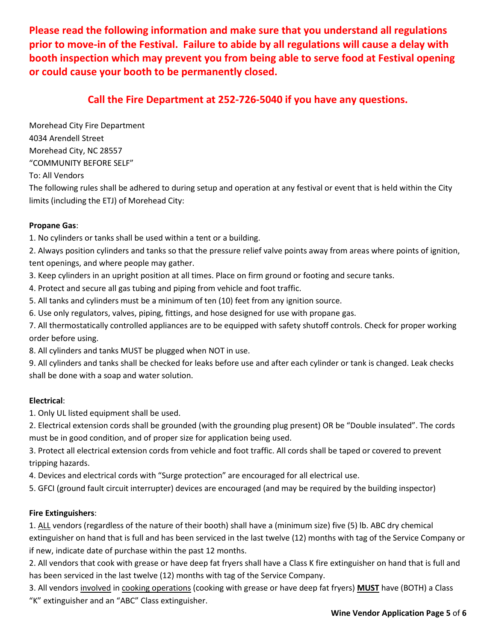**Please read the following information and make sure that you understand all regulations prior to move-in of the Festival. Failure to abide by all regulations will cause a delay with booth inspection which may prevent you from being able to serve food at Festival opening or could cause your booth to be permanently closed.** 

# **Call the Fire Department at 252-726-5040 if you have any questions.**

Morehead City Fire Department 4034 Arendell Street Morehead City, NC 28557 "COMMUNITY BEFORE SELF"

To: All Vendors

The following rules shall be adhered to during setup and operation at any festival or event that is held within the City limits (including the ETJ) of Morehead City:

## **Propane Gas**:

1. No cylinders or tanks shall be used within a tent or a building.

2. Always position cylinders and tanks so that the pressure relief valve points away from areas where points of ignition, tent openings, and where people may gather.

3. Keep cylinders in an upright position at all times. Place on firm ground or footing and secure tanks.

4. Protect and secure all gas tubing and piping from vehicle and foot traffic.

5. All tanks and cylinders must be a minimum of ten (10) feet from any ignition source.

6. Use only regulators, valves, piping, fittings, and hose designed for use with propane gas.

7. All thermostatically controlled appliances are to be equipped with safety shutoff controls. Check for proper working order before using.

8. All cylinders and tanks MUST be plugged when NOT in use.

9. All cylinders and tanks shall be checked for leaks before use and after each cylinder or tank is changed. Leak checks shall be done with a soap and water solution.

#### **Electrical**:

1. Only UL listed equipment shall be used.

2. Electrical extension cords shall be grounded (with the grounding plug present) OR be "Double insulated". The cords must be in good condition, and of proper size for application being used.

3. Protect all electrical extension cords from vehicle and foot traffic. All cords shall be taped or covered to prevent tripping hazards.

4. Devices and electrical cords with "Surge protection" are encouraged for all electrical use.

5. GFCI (ground fault circuit interrupter) devices are encouraged (and may be required by the building inspector)

#### **Fire Extinguishers**:

1. ALL vendors (regardless of the nature of their booth) shall have a (minimum size) five (5) lb. ABC dry chemical extinguisher on hand that is full and has been serviced in the last twelve (12) months with tag of the Service Company or if new, indicate date of purchase within the past 12 months.

2. All vendors that cook with grease or have deep fat fryers shall have a Class K fire extinguisher on hand that is full and has been serviced in the last twelve (12) months with tag of the Service Company.

3. All vendors involved in cooking operations (cooking with grease or have deep fat fryers) **MUST** have (BOTH) a Class "K" extinguisher and an "ABC" Class extinguisher.